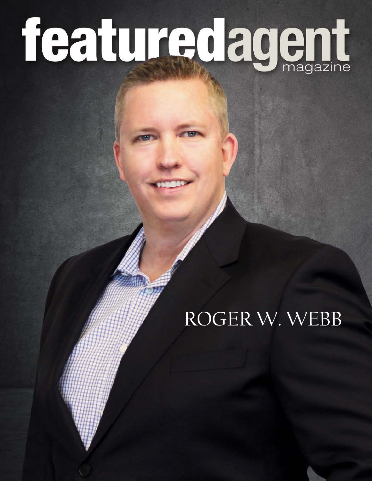# featuredagent

## ROGER W. WEBB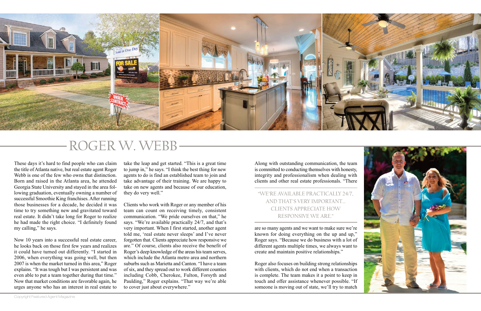

Along with outstanding communication, the team is committed to conducting themselves with honesty, integrity and professionalism when dealing with clients and other real estate professionals. "There

are so many agents and we want to make sure we're known for doing everything on the up and up," Roger says. "Because we do business with a lot of different agents multiple times, we always want to create and maintain positive relationships."

Roger also focuses on building strong relationships with clients, which do not end when a transaction is complete. The team makes it a point to keep in touch and offer assistance whenever possible. "If someone is moving out of state, we'll try to match



## ROGER W. WEBB

These days it's hard to find people who can claim the title ofAtlanta native, but real estate agent Roger Webb is one of the few who owns that distinction. Born and raised in the Atlanta area, he attended Georgia State University and stayed in the area following graduation, eventually owning a number of successful Smoothie King franchises. After running those businesses for a decade, he decided it was time to try something new and gravitated toward real estate. It didn't take long for Roger to realize he had made the right choice. "I definitely found my calling," he says.

Now 10 years into a successful real estate career, he looks back on those first few years and realizes it could have turned out differently. "I started in 2006, when everything was going well, but then 2007 is when the market turned in this area," Roger explains. "It was tough but I was persistent and was even able to put a team together during that time." Now that market conditions are favorable again, he urges anyone who has an interest in real estate to

take the leap and get started. "This is a great time to jump in," he says. "I think the best thing for new agents to do is find an established team to join and

take advantage of their training. We are happy to take on new agents and because of our education, they do very well." Clients who work with Roger or any member of his

team can count on receiving timely, consistent communication. "We pride ourselves on that," he says. "We're available practically 24/7, and that's very important. When I first started, another agent told me, 'real estate never sleeps' and I've never forgotten that. Clients appreciate how responsive we are." Of course, clients also receive the benefit of Roger's deep knowledge of the areas histeam serves, which include the Atlanta metro area and northern suburbs such as Marietta and Canton. "I have a team of six, and they spread out to work different counties including Cobb, Cherokee, Fulton, Forsyth and Paulding," Roger explains. "That way we're able to cover just about everywhere."

### "WE'RE AVAILABLE PRACTICALLY 24/7, AND THAT'S VERY IMPORTANT… CLIENTS APPRECIATE HOW RESPONSIVE WE ARE."